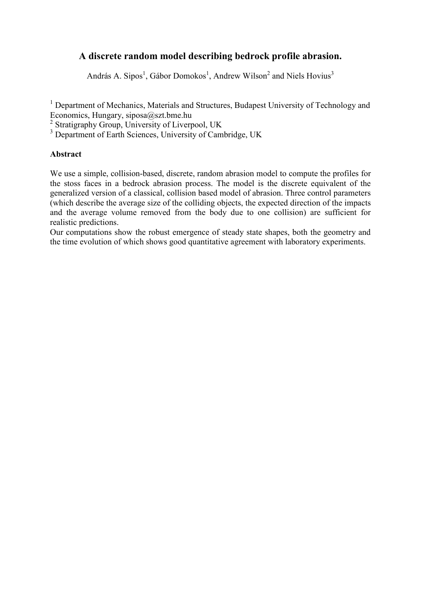# **A discrete random model describing bedrock profile abrasion.**

András A. Sipos<sup>1</sup>, Gábor Domokos<sup>1</sup>, Andrew Wilson<sup>2</sup> and Niels Hovius<sup>3</sup>

<sup>1</sup> Department of Mechanics, Materials and Structures, Budapest University of Technology and Economics, Hungary, siposa@szt.bme.hu

<sup>2</sup> Stratigraphy Group, University of Liverpool, UK

<sup>3</sup> Department of Earth Sciences, University of Cambridge, UK

### **Abstract**

We use a simple, collision-based, discrete, random abrasion model to compute the profiles for the stoss faces in a bedrock abrasion process. The model is the discrete equivalent of the generalized version of a classical, collision based model of abrasion. Three control parameters (which describe the average size of the colliding objects, the expected direction of the impacts and the average volume removed from the body due to one collision) are sufficient for realistic predictions.

Our computations show the robust emergence of steady state shapes, both the geometry and the time evolution of which shows good quantitative agreement with laboratory experiments.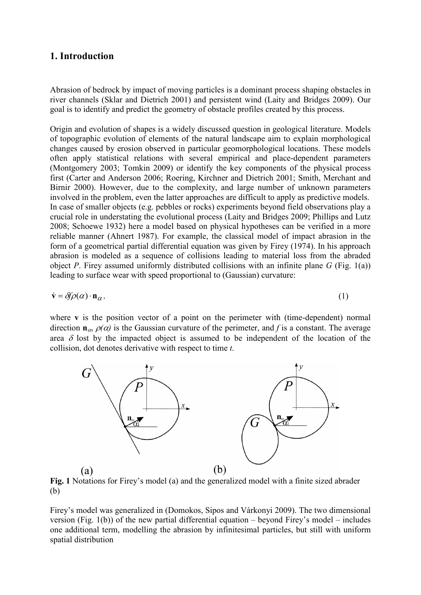# **1. Introduction**

Abrasion of bedrock by impact of moving particles is a dominant process shaping obstacles in river channels (Sklar and Dietrich 2001) and persistent wind (Laity and Bridges 2009). Our goal is to identify and predict the geometry of obstacle profiles created by this process.

Origin and evolution of shapes is a widely discussed question in geological literature. Models of topographic evolution of elements of the natural landscape aim to explain morphological changes caused by erosion observed in particular geomorphological locations. These models often apply statistical relations with several empirical and place-dependent parameters (Montgomery 2003; Tomkin 2009) or identify the key components of the physical process first (Carter and Anderson 2006; Roering, Kirchner and Dietrich 2001; Smith, Merchant and Birnir 2000). However, due to the complexity, and large number of unknown parameters involved in the problem, even the latter approaches are difficult to apply as predictive models. In case of smaller objects (e.g. pebbles or rocks) experiments beyond field observations play a crucial role in understating the evolutional process (Laity and Bridges 2009; Phillips and Lutz 2008; Schoewe 1932) here a model based on physical hypotheses can be verified in a more reliable manner (Ahnert 1987). For example, the classical model of impact abrasion in the form of a geometrical partial differential equation was given by Firey (1974). In his approach abrasion is modeled as a sequence of collisions leading to material loss from the abraded object *P*. Firey assumed uniformly distributed collisions with an infinite plane *G* (Fig. 1(a)) leading to surface wear with speed proportional to (Gaussian) curvature:

$$
\dot{\mathbf{v}} = \delta f \rho(\alpha) \cdot \mathbf{n}_{\alpha},\tag{1}
$$

where **v** is the position vector of a point on the perimeter with (time-dependent) normal direction  $\mathbf{n}_{\alpha}$ ,  $\rho(\alpha)$  is the Gaussian curvature of the perimeter, and *f* is a constant. The average area  $\delta$  lost by the impacted object is assumed to be independent of the location of the collision, dot denotes derivative with respect to time *t*.



**Fig. 1** Notations for Firey's model (a) and the generalized model with a finite sized abrader (b)

Firey's model was generalized in (Domokos, Sipos and Várkonyi 2009). The two dimensional version (Fig.  $1(b)$ ) of the new partial differential equation – beyond Firey's model – includes one additional term, modelling the abrasion by infinitesimal particles, but still with uniform spatial distribution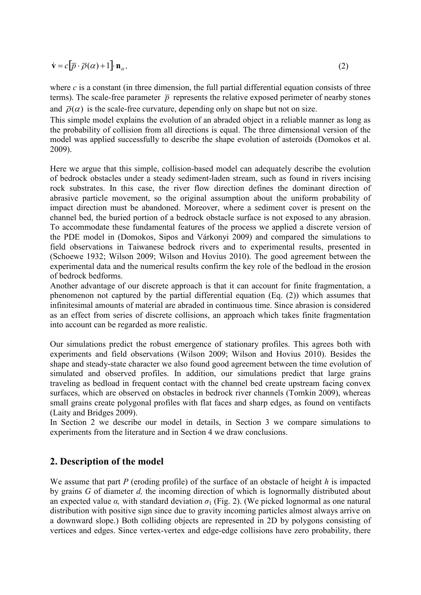$$
\dot{\mathbf{v}} = c[\overline{p} \cdot \overline{\rho}(\alpha) + 1] \cdot \mathbf{n}_{\alpha},\tag{2}
$$

where  $c$  is a constant (in three dimension, the full partial differential equation consists of three terms). The scale-free parameter  $\bar{p}$  represents the relative exposed perimeter of nearby stones and  $\overline{\rho}(\alpha)$  is the scale-free curvature, depending only on shape but not on size.

This simple model explains the evolution of an abraded object in a reliable manner as long as the probability of collision from all directions is equal. The three dimensional version of the model was applied successfully to describe the shape evolution of asteroids (Domokos et al. 2009).

Here we argue that this simple, collision-based model can adequately describe the evolution of bedrock obstacles under a steady sediment-laden stream, such as found in rivers incising rock substrates. In this case, the river flow direction defines the dominant direction of abrasive particle movement, so the original assumption about the uniform probability of impact direction must be abandoned. Moreover, where a sediment cover is present on the channel bed, the buried portion of a bedrock obstacle surface is not exposed to any abrasion. To accommodate these fundamental features of the process we applied a discrete version of the PDE model in (Domokos, Sipos and Várkonyi 2009) and compared the simulations to field observations in Taiwanese bedrock rivers and to experimental results, presented in (Schoewe 1932; Wilson 2009; Wilson and Hovius 2010). The good agreement between the experimental data and the numerical results confirm the key role of the bedload in the erosion of bedrock bedforms.

Another advantage of our discrete approach is that it can account for finite fragmentation, a phenomenon not captured by the partial differential equation (Eq. (2)) which assumes that infinitesimal amounts of material are abraded in continuous time. Since abrasion is considered as an effect from series of discrete collisions, an approach which takes finite fragmentation into account can be regarded as more realistic.

Our simulations predict the robust emergence of stationary profiles. This agrees both with experiments and field observations (Wilson 2009; Wilson and Hovius 2010). Besides the shape and steady-state character we also found good agreement between the time evolution of simulated and observed profiles. In addition, our simulations predict that large grains traveling as bedload in frequent contact with the channel bed create upstream facing convex surfaces, which are observed on obstacles in bedrock river channels (Tomkin 2009), whereas small grains create polygonal profiles with flat faces and sharp edges, as found on ventifacts (Laity and Bridges 2009).

In Section 2 we describe our model in details, in Section 3 we compare simulations to experiments from the literature and in Section 4 we draw conclusions.

# **2. Description of the model**

We assume that part *P* (eroding profile) of the surface of an obstacle of height *h* is impacted by grains *G* of diameter *d,* the incoming direction of which is lognormally distributed about an expected value  $\alpha$ , with standard deviation  $\sigma_1$  (Fig. 2). (We picked lognormal as one natural distribution with positive sign since due to gravity incoming particles almost always arrive on a downward slope.) Both colliding objects are represented in 2D by polygons consisting of vertices and edges. Since vertex-vertex and edge-edge collisions have zero probability, there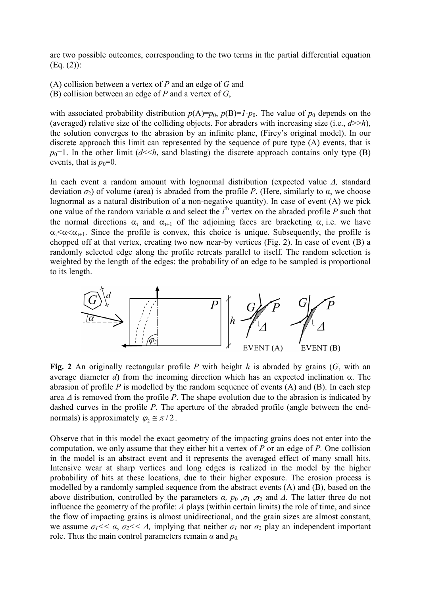are two possible outcomes, corresponding to the two terms in the partial differential equation (Eq. (2)):

(A) collision between a vertex of *P* and an edge of *G* and

(B) collision between an edge of *P* and a vertex of *G*,

with associated probability distribution  $p(A)=p_0$ ,  $p(B)=I-p_0$ . The value of  $p_0$  depends on the (averaged) relative size of the colliding objects. For abraders with increasing size (i.e.,  $d \gg h$ ), the solution converges to the abrasion by an infinite plane, (Firey's original model). In our discrete approach this limit can represented by the sequence of pure type (A) events, that is  $p_0=1$ . In the other limit  $(d \leq h$ , sand blasting) the discrete approach contains only type (B) events, that is  $p_0=0$ .

In each event a random amount with lognormal distribution (expected value *∆,* standard deviation  $\sigma_2$ ) of volume (area) is abraded from the profile *P*. (Here, similarly to α, we choose lognormal as a natural distribution of a non-negative quantity). In case of event (A) we pick one value of the random variable  $\alpha$  and select the *i*<sup>th</sup> vertex on the abraded profile *P* such that the normal directions  $\alpha_1$  and  $\alpha_{1+1}$  of the adjoining faces are bracketing  $\alpha$ , i.e. we have  $\alpha_1 \leq \alpha \leq \alpha_{t+1}$ . Since the profile is convex, this choice is unique. Subsequently, the profile is chopped off at that vertex, creating two new near-by vertices (Fig. 2). In case of event (B) a randomly selected edge along the profile retreats parallel to itself. The random selection is weighted by the length of the edges: the probability of an edge to be sampled is proportional to its length.



**Fig. 2** An originally rectangular profile *P* with height *h* is abraded by grains (*G*, with an average diameter *d*) from the incoming direction which has an expected inclination  $\alpha$ . The abrasion of profile  $P$  is modelled by the random sequence of events  $(A)$  and  $(B)$ . In each step area ∆ is removed from the profile *P*. The shape evolution due to the abrasion is indicated by dashed curves in the profile *P*. The aperture of the abraded profile (angle between the endnormals) is approximately  $\varphi_2 \cong \pi/2$ .

Observe that in this model the exact geometry of the impacting grains does not enter into the computation, we only assume that they either hit a vertex of *P* or an edge of *P.* One collision in the model is an abstract event and it represents the averaged effect of many small hits. Intensive wear at sharp vertices and long edges is realized in the model by the higher probability of hits at these locations, due to their higher exposure. The erosion process is modelled by a randomly sampled sequence from the abstract events (A) and (B), based on the above distribution, controlled by the parameters  $\alpha$ ,  $p_0$ ,  $\sigma_1$ ,  $\sigma_2$  and  $\Delta$ . The latter three do not influence the geometry of the profile: *∆* plays (within certain limits) the role of time, and since the flow of impacting grains is almost unidirectional, and the grain sizes are almost constant, we assume  $\sigma_1$ <sup> $<< \alpha$ </sup>,  $\sigma_2$ <sup> $<< \Delta$ </sup>, implying that neither  $\sigma_1$  nor  $\sigma_2$  play an independent important role. Thus the main control parameters remain  $\alpha$  and  $p_0$ .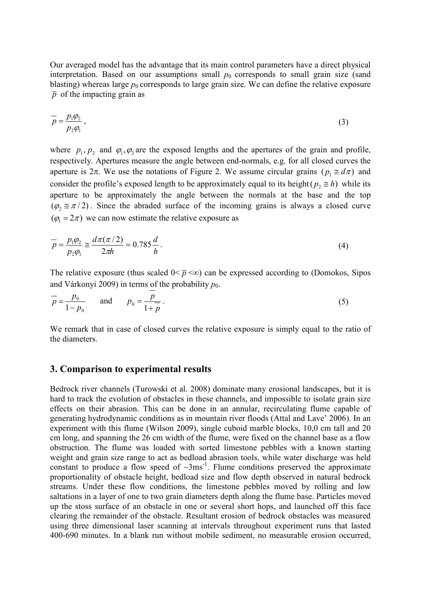Our averaged model has the advantage that its main control parameters have a direct physical interpretation. Based on our assumptions small  $p_0$  corresponds to small grain size (sand blasting) whereas large  $p_0$  corresponds to large grain size. We can define the relative exposure  $\bar{p}$  of the impacting grain as

$$
\overline{p} = \frac{p_1 \varphi_2}{p_2 \varphi_1},\tag{3}
$$

where  $p_1, p_2$  and  $\varphi_1, \varphi_2$  are the exposed lengths and the apertures of the grain and profile, respectively. Apertures measure the angle between end-normals, e.g. for all closed curves the aperture is  $2\pi$ . We use the notations of Figure 2. We assume circular grains ( $p_1 \approx d\pi$ ) and consider the profile's exposed length to be approximately equal to its height( $p_2 \approx h$ ) while its aperture to be approximately the angle between the normals at the base and the top  $(\varphi \equiv \pi/2)$ . Since the abraded surface of the incoming grains is always a closed curve  $(\varphi_1 = 2\pi)$  we can now estimate the relative exposure as

$$
\frac{1}{p} = \frac{p_1 \varphi_2}{p_2 \varphi_1} \cong \frac{d\pi(\pi/2)}{2\pi h} = 0.785 \frac{d}{h}.
$$
\n(4)

The relative exposure (thus scaled  $0 \le \bar{p} \le \infty$ ) can be expressed according to (Domokos, Sipos and Várkonyi 2009) in terms of the probability  $p_0$ .

$$
\overline{p} = \frac{p_0}{1 - p_0}
$$
 and  $p_0 = \frac{p}{1 + \overline{p}}$ . (5)

We remark that in case of closed curves the relative exposure is simply equal to the ratio of the diameters.

#### **3. Comparison to experimental results**

Bedrock river channels (Turowski et al. 2008) dominate many erosional landscapes, but it is hard to track the evolution of obstacles in these channels, and impossible to isolate grain size effects on their abrasion. This can be done in an annular, recirculating flume capable of generating hydrodynamic conditions as in mountain river floods (Attal and Lave' 2006). In an experiment with this flume (Wilson 2009), single cuboid marble blocks, 10,0 cm tall and 20 cm long, and spanning the 26 cm width of the flume, were fixed on the channel base as a flow obstruction. The flume was loaded with sorted limestone pebbles with a known starting weight and grain size range to act as bedload abrasion tools, while water discharge was held constant to produce a flow speed of  $\sim 3$ ms<sup>-1</sup>. Flume conditions preserved the approximate proportionality of obstacle height, bedload size and flow depth observed in natural bedrock streams. Under these flow conditions, the limestone pebbles moved by rolling and low saltations in a layer of one to two grain diameters depth along the flume base. Particles moved up the stoss surface of an obstacle in one or several short hops, and launched off this face clearing the remainder of the obstacle. Resultant erosion of bedrock obstacles was measured using three dimensional laser scanning at intervals throughout experiment runs that lasted 400-690 minutes. In a blank run without mobile sediment, no measurable erosion occurred,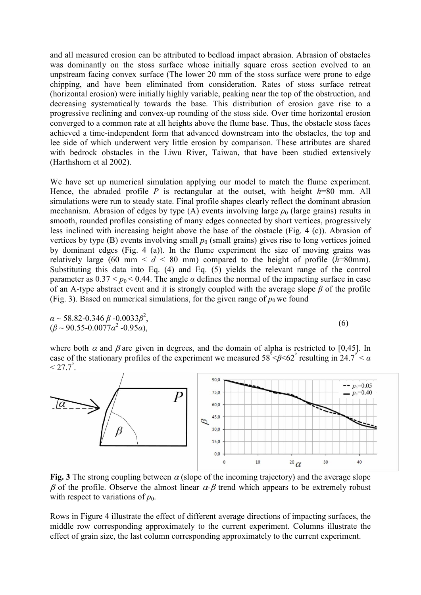and all measured erosion can be attributed to bedload impact abrasion. Abrasion of obstacles was dominantly on the stoss surface whose initially square cross section evolved to an unpstream facing convex surface (The lower 20 mm of the stoss surface were prone to edge chipping, and have been eliminated from consideration. Rates of stoss surface retreat (horizontal erosion) were initially highly variable, peaking near the top of the obstruction, and decreasing systematically towards the base. This distribution of erosion gave rise to a progressive reclining and convex-up rounding of the stoss side. Over time horizontal erosion converged to a common rate at all heights above the flume base. Thus, the obstacle stoss faces achieved a time-independent form that advanced downstream into the obstacles, the top and lee side of which underwent very little erosion by comparison. These attributes are shared with bedrock obstacles in the Liwu River, Taiwan, that have been studied extensively (Harthshorn et al 2002).

We have set up numerical simulation applying our model to match the flume experiment. Hence, the abraded profile *P* is rectangular at the outset, with height *h*=80 mm. All simulations were run to steady state. Final profile shapes clearly reflect the dominant abrasion mechanism. Abrasion of edges by type  $(A)$  events involving large  $p_0$  (large grains) results in smooth, rounded profiles consisting of many edges connected by short vertices, progressively less inclined with increasing height above the base of the obstacle (Fig. 4 (c)). Abrasion of vertices by type (B) events involving small  $p_0$  (small grains) gives rise to long vertices joined by dominant edges (Fig. 4 (a)). In the flume experiment the size of moving grains was relatively large (60 mm  $\leq d \leq 80$  mm) compared to the height of profile (*h*=80mm). Substituting this data into Eq. (4) and Eq. (5) yields the relevant range of the control parameter as  $0.37 < p_0 < 0.44$ . The angle  $\alpha$  defines the normal of the impacting surface in case of an A-type abstract event and it is strongly coupled with the average slope *β* of the profile (Fig. 3). Based on numerical simulations, for the given range of  $p_0$  we found

$$
\alpha \sim 58.82 - 0.346 \beta - 0.0033 \beta^2, (\beta \sim 90.55 - 0.0077 \alpha^2 - 0.95 \alpha),
$$
\n(6)

where both  $\alpha$  and  $\beta$  are given in degrees, and the domain of alpha is restricted to [0,45]. In case of the stationary profiles of the experiment we measured  $58^{\degree}$   $\leq$   $62^{\degree}$  resulting in 24.7<sup>°</sup>  $\leq$   $\alpha$ 



**Fig. 3** The strong coupling between  $\alpha$  (slope of the incoming trajectory) and the average slope  $β$  of the profile. Observe the almost linear  $α$ - $β$  trend which appears to be extremely robust with respect to variations of  $p_0$ .

Rows in Figure 4 illustrate the effect of different average directions of impacting surfaces, the middle row corresponding approximately to the current experiment. Columns illustrate the effect of grain size, the last column corresponding approximately to the current experiment.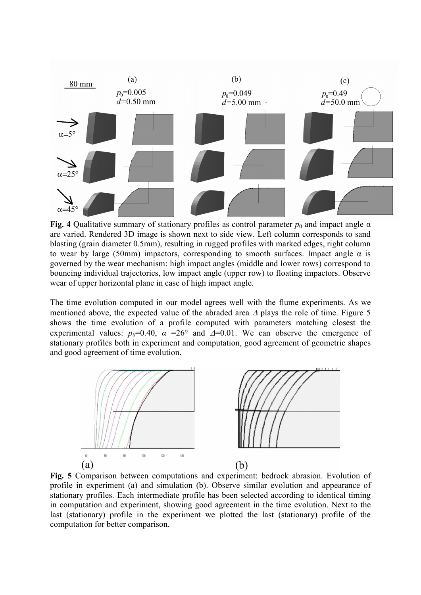

**Fig. 4** Qualitative summary of stationary profiles as control parameter  $p_0$  and impact angle  $\alpha$ are varied. Rendered 3D image is shown next to side view. Left column corresponds to sand blasting (grain diameter 0.5mm), resulting in rugged profiles with marked edges, right column to wear by large (50mm) impactors, corresponding to smooth surfaces. Impact angle  $\alpha$  is governed by the wear mechanism: high impact angles (middle and lower rows) correspond to bouncing individual trajectories, low impact angle (upper row) to floating impactors. Observe wear of upper horizontal plane in case of high impact angle.

The time evolution computed in our model agrees well with the flume experiments. As we mentioned above, the expected value of the abraded area ∆ plays the role of time. Figure 5 shows the time evolution of a profile computed with parameters matching closest the experimental values:  $p_0=0.40$ ,  $\alpha =26^{\circ}$  and  $\Delta=0.01$ . We can observe the emergence of stationary profiles both in experiment and computation, good agreement of geometric shapes and good agreement of time evolution.



**Fig. 5** Comparison between computations and experiment: bedrock abrasion. Evolution of profile in experiment (a) and simulation (b). Observe similar evolution and appearance of stationary profiles. Each intermediate profile has been selected according to identical timing in computation and experiment, showing good agreement in the time evolution. Next to the last (stationary) profile in the experiment we plotted the last (stationary) profile of the computation for better comparison.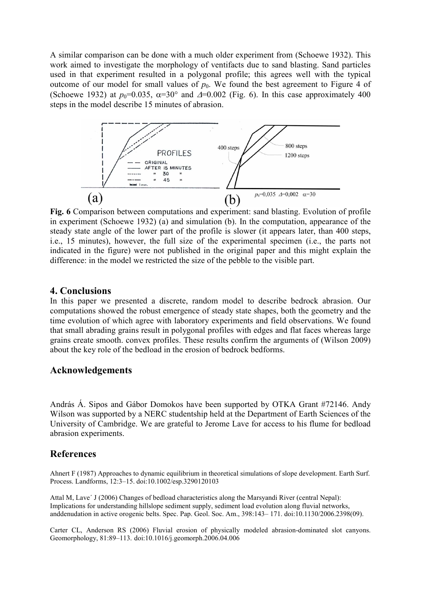A similar comparison can be done with a much older experiment from (Schoewe 1932). This work aimed to investigate the morphology of ventifacts due to sand blasting. Sand particles used in that experiment resulted in a polygonal profile; this agrees well with the typical outcome of our model for small values of  $p_0$ . We found the best agreement to Figure 4 of (Schoewe 1932) at  $p_0$ =0.035,  $\alpha$ =30° and  $\Delta$ =0.002 (Fig. 6). In this case approximately 400 steps in the model describe 15 minutes of abrasion.



**Fig. 6** Comparison between computations and experiment: sand blasting. Evolution of profile in experiment (Schoewe 1932) (a) and simulation (b). In the computation, appearance of the steady state angle of the lower part of the profile is slower (it appears later, than 400 steps, i.e., 15 minutes), however, the full size of the experimental specimen (i.e., the parts not indicated in the figure) were not published in the original paper and this might explain the difference: in the model we restricted the size of the pebble to the visible part.

#### **4. Conclusions**

In this paper we presented a discrete, random model to describe bedrock abrasion. Our computations showed the robust emergence of steady state shapes, both the geometry and the time evolution of which agree with laboratory experiments and field observations. We found that small abrading grains result in polygonal profiles with edges and flat faces whereas large grains create smooth. convex profiles. These results confirm the arguments of (Wilson 2009) about the key role of the bedload in the erosion of bedrock bedforms.

# **Acknowledgements**

András Á. Sipos and Gábor Domokos have been supported by OTKA Grant #72146. Andy Wilson was supported by a NERC studentship held at the Department of Earth Sciences of the University of Cambridge. We are grateful to Jerome Lave for access to his flume for bedload abrasion experiments.

### **References**

Ahnert F (1987) Approaches to dynamic equilibrium in theoretical simulations of slope development. Earth Surf. Process. Landforms, 12:3–15. doi:10.1002/esp.3290120103

Attal M, Lave´ J (2006) Changes of bedload characteristics along the Marsyandi River (central Nepal): Implications for understanding hillslope sediment supply, sediment load evolution along fluvial networks, anddenudation in active orogenic belts. Spec. Pap. Geol. Soc. Am., 398:143– 171. doi:10.1130/2006.2398(09).

Carter CL, Anderson RS (2006) Fluvial erosion of physically modeled abrasion-dominated slot canyons. Geomorphology, 81:89–113. doi:10.1016/j.geomorph.2006.04.006